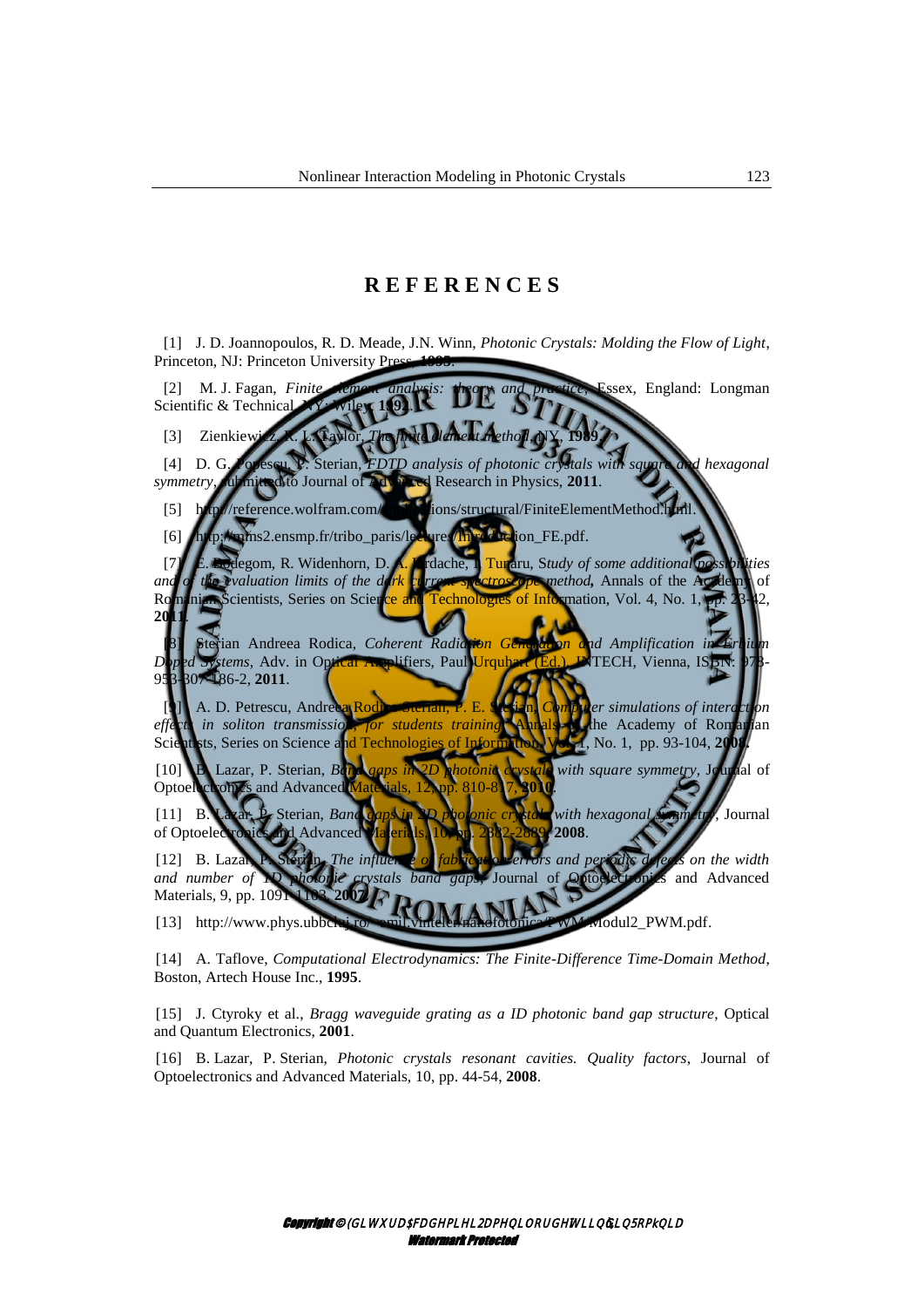## **R E F E R E N C E S**

[1] J. D. Joannopoulos, R. D. Meade, J.N. Winn, *Photonic Crystals: Molding the Flow of Light*, Princeton, NJ: Princeton University Pre

[2] M. J. Fagan, *Finite element analysis: theory and practice*, Essex, England: Longman Scientific & Technical

[3] Zienkiew

[4] D. G. Popescu, P. Sterian*, FDTD analysis of photonic crystals with square and hexagonal symmetry*, submitted to Journal of Advanced Research in Physics, 2011.

[5] http://reference.wolfram.com/applications/structural/FiniteElementMethod.h

[6] [http://mms2.ensmp.fr/tribo\\_paris/lectures/Introduction\\_FE.pdf.](http://mms2.ensmp.fr/tribo_paris/lectures/Introduction_FE.pdf)

[7] E. Bodegom, R. Widenhorn, D. A. Iordache, I. Tunaru, S*tudy of some additional possibilities and of the evaluation limits of the dark* current spectroscope method, Annals of the Academy of Romanian Scientists, Series on Science and Technologies of Information, Vol. 4, No. 1, **20** 

[8] Sterian Andreea Rodica, *Coherent Radiation Generation and Amplification in Erbium Doped Systems,* Adv. in Optical Amplifiers, Paul Urquhart (Ed.), INTECH, Vienna, IS 953-307-186-2, **2011**.

[9] A. D. Petrescu, Andreea Rodica Sterian, P. E. Sterian**,** *Computer simulations of interaction effects in soliton transmission, for students training* Annals of the Academy of Romanian Scientists, Series on Science and Technologies of Information Web 1, No. 1, pp. 93-104, 2009. Scientists, Series on Science and Technologie

[10] B. Lazar, P. Sterian, *[Band gaps in 2D photonic crystals with square symmetry](http://apps.isiknowledge.com/full_record.do?product=UA&search_mode=GeneralSearch&qid=1&SID=P1Dlg8DJimcjFoIHEfO&page=1&doc=1&colname=WOS)*, Journal of Optoelectronics and Advanced

[11] B. Lazar, P. Sterian, *[Band gaps in 2D photonic crystals with hexagonal symmetry](http://apps.isiknowledge.com/full_record.do?product=UA&search_mode=GeneralSearch&qid=1&SID=P1Dlg8DJimcjFoIHEfO&page=1&doc=12&colname=WOS)*, Journal of Optoelectronics and Advanced Materials, 10, pp. 2882-2889, **2008**.

[12] B. Lazar, P. Sterian, *The influence of fabrication errors and periodic defects on the width [and number of 1D photonic crystals band gaps](http://apps.isiknowledge.com/full_record.do?product=UA&search_mode=GeneralSearch&qid=1&SID=P1Dlg8DJimcjFoIHEfO&page=1&doc=25&colname=WOS)*, Journal of Optoelectronics and Advanced Materials, 9, pp. 1091-1103, **2007**.

[13] http://www.phys.ubbclai.ro/~emil.vinteler/nanofotonica/PWM/Modul2\_PWM.pdf.

[14] A. Taflove, *Computational Electrodynamics: The Finite-Difference Time-Domain Method*, Boston, Artech House Inc., **1995**.

[15] J. Ctyroky et al., *Bragg waveguide grating as a ID photonic band gap structure*, Optical and Quantum Electronics, **2001**.

[16] B. Lazar, P. Sterian, *[Photonic crystals resonant cavities. Quality factors](http://apps.isiknowledge.com/full_record.do?product=UA&search_mode=GeneralSearch&qid=1&SID=P1Dlg8DJimcjFoIHEfO&page=1&doc=18&colname=WOS)*, Journal of Optoelectronics and Advanced Materials, 10, pp. 44-54, **2008**.